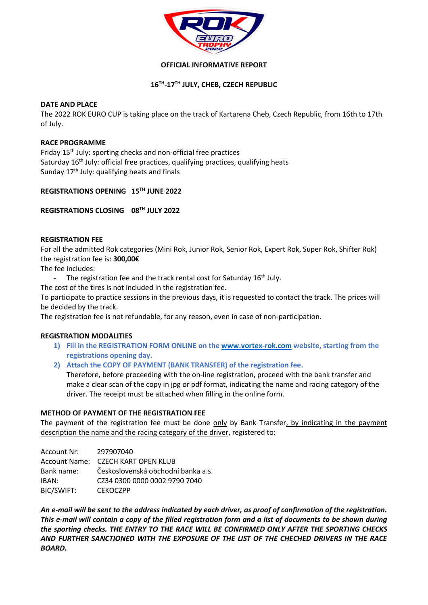

## **OFFICIAL INFORMATIVE REPORT**

# **16 TH -17 TH JULY, CHEB, CZECH REPUBLIC**

## **DATE AND PLACE**

The 2022 ROK EURO CUP is taking place on the track of Kartarena Cheb, Czech Republic, from 16th to 17th of July.

#### **RACE PROGRAMME**

Friday 15<sup>th</sup> July: sporting checks and non-official free practices Saturday 16<sup>th</sup> July: official free practices, qualifying practices, qualifying heats Sunday 17<sup>th</sup> July: qualifying heats and finals

## **REGISTRATIONS OPENING 15TH JUNE 2022**

**REGISTRATIONS CLOSING 08TH JULY 2022**

## **REGISTRATION FEE**

For all the admitted Rok categories (Mini Rok, Junior Rok, Senior Rok, Expert Rok, Super Rok, Shifter Rok) the registration fee is: **300,00€**

The fee includes:

- The registration fee and the track rental cost for Saturday 16<sup>th</sup> July.
- The cost of the tires is not included in the registration fee.

To participate to practice sessions in the previous days, it is requested to contact the track. The prices will be decided by the track.

The registration fee is not refundable, for any reason, even in case of non-participation.

## **REGISTRATION MODALITIES**

- **1) Fill in the REGISTRATION FORM ONLINE on the [www.vortex-rok.com](http://www.vortex-rok.com/) website, starting from the registrations opening day.**
- **2) Attach the COPY OF PAYMENT (BANK TRANSFER) of the registration fee.**

Therefore, before proceeding with the on-line registration, proceed with the bank transfer and make a clear scan of the copy in jpg or pdf format, indicating the name and racing category of the driver. The receipt must be attached when filling in the online form.

## **METHOD OF PAYMENT OF THE REGISTRATION FEE**

The payment of the registration fee must be done only by Bank Transfer, by indicating in the payment description the name and the racing category of the driver, registered to:

Account Nr: 297907040 Account Name: CZECH KART OPEN KLUB Bank name: Československá obchodní banka a.s. IBAN: CZ34 0300 0000 0002 9790 7040 BIC/SWIFT: CEKOCZPP

*An e-mail will be sent to the address indicated by each driver, as proof of confirmation of the registration. This e-mail will contain a copy of the filled registration form and a list of documents to be shown during the sporting checks. THE ENTRY TO THE RACE WILL BE CONFIRMED ONLY AFTER THE SPORTING CHECKS AND FURTHER SANCTIONED WITH THE EXPOSURE OF THE LIST OF THE CHECHED DRIVERS IN THE RACE BOARD.*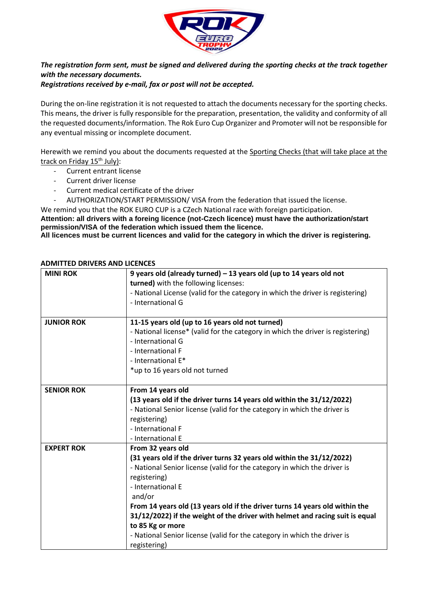

# *The registration form sent, must be signed and delivered during the sporting checks at the track together with the necessary documents.*

*Registrations received by e-mail, fax or post will not be accepted.* 

During the on-line registration it is not requested to attach the documents necessary for the sporting checks. This means, the driver is fully responsible for the preparation, presentation, the validity and conformity of all the requested documents/information. The Rok Euro Cup Organizer and Promoter will not be responsible for any eventual missing or incomplete document.

Herewith we remind you about the documents requested at the Sporting Checks (that will take place at the track on Friday 15<sup>th</sup> July):

- Current entrant license
- Current driver license
- Current medical certificate of the driver
- AUTHORIZATION/START PERMISSION/ VISA from the federation that issued the license.
- We remind you that the ROK EURO CUP is a CZech National race with foreign participation.

**Attention: all drivers with a foreing licence (not-Czech licence) must have the authorization/start permission/VISA of the federation which issued them the licence.**

**All licences must be current licences and valid for the category in which the driver is registering.**

| <b>MINI ROK</b>   | 9 years old (already turned) $-13$ years old (up to 14 years old not<br>turned) with the following licenses:<br>- National License (valid for the category in which the driver is registering)<br>- International G                                                                                                                                                                                                                                                                                  |
|-------------------|------------------------------------------------------------------------------------------------------------------------------------------------------------------------------------------------------------------------------------------------------------------------------------------------------------------------------------------------------------------------------------------------------------------------------------------------------------------------------------------------------|
| <b>JUNIOR ROK</b> | 11-15 years old (up to 16 years old not turned)<br>- National license* (valid for the category in which the driver is registering)<br>- International G<br>- International F<br>- International E*<br>*up to 16 years old not turned                                                                                                                                                                                                                                                                 |
| <b>SENIOR ROK</b> | From 14 years old<br>(13 years old if the driver turns 14 years old within the 31/12/2022)<br>- National Senior license (valid for the category in which the driver is<br>registering)<br>- International F<br>- International E                                                                                                                                                                                                                                                                     |
| <b>EXPERT ROK</b> | From 32 years old<br>(31 years old if the driver turns 32 years old within the 31/12/2022)<br>- National Senior license (valid for the category in which the driver is<br>registering)<br>- International E<br>and/or<br>From 14 years old (13 years old if the driver turns 14 years old within the<br>31/12/2022) if the weight of the driver with helmet and racing suit is equal<br>to 85 Kg or more<br>- National Senior license (valid for the category in which the driver is<br>registering) |

## **ADMITTED DRIVERS AND LICENCES**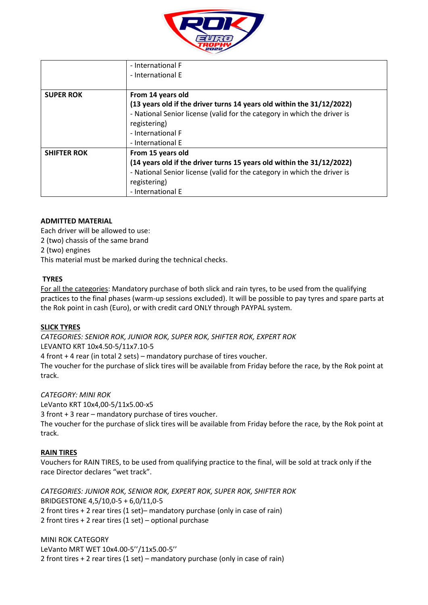

|                    | - International F                                                        |
|--------------------|--------------------------------------------------------------------------|
|                    | - International E                                                        |
|                    |                                                                          |
| <b>SUPER ROK</b>   | From 14 years old                                                        |
|                    | (13 years old if the driver turns 14 years old within the 31/12/2022)    |
|                    | - National Senior license (valid for the category in which the driver is |
|                    | registering)                                                             |
|                    | - International F                                                        |
|                    | - International E                                                        |
| <b>SHIFTER ROK</b> | From 15 years old                                                        |
|                    | (14 years old if the driver turns 15 years old within the 31/12/2022)    |
|                    | - National Senior license (valid for the category in which the driver is |
|                    | registering)                                                             |
|                    | - International E                                                        |

## **ADMITTED MATERIAL**

Each driver will be allowed to use:

2 (two) chassis of the same brand

2 (two) engines

This material must be marked during the technical checks.

## **TYRES**

For all the categories: Mandatory purchase of both slick and rain tyres, to be used from the qualifying practices to the final phases (warm-up sessions excluded). It will be possible to pay tyres and spare parts at the Rok point in cash (Euro), or with credit card ONLY through PAYPAL system.

## **SLICK TYRES**

*CATEGORIES: SENIOR ROK, JUNIOR ROK, SUPER ROK, SHIFTER ROK, EXPERT ROK*  LEVANTO KRT 10x4.50-5/11x7.10-5

4 front + 4 rear (in total 2 sets) – mandatory purchase of tires voucher.

The voucher for the purchase of slick tires will be available from Friday before the race, by the Rok point at track.

*CATEGORY: MINI ROK* 

LeVanto KRT 10x4,00-5/11x5.00-x5

3 front + 3 rear – mandatory purchase of tires voucher.

The voucher for the purchase of slick tires will be available from Friday before the race, by the Rok point at track.

## **RAIN TIRES**

Vouchers for RAIN TIRES, to be used from qualifying practice to the final, will be sold at track only if the race Director declares "wet track".

*CATEGORIES: JUNIOR ROK, SENIOR ROK, EXPERT ROK, SUPER ROK, SHIFTER ROK* BRIDGESTONE 4,5/10,0-5 + 6,0/11,0-5 2 front tires + 2 rear tires (1 set)– mandatory purchase (only in case of rain) 2 front tires + 2 rear tires (1 set) – optional purchase

MINI ROK CATEGORY LeVanto MRT WET 10x4.00-5''/11x5.00-5'' 2 front tires + 2 rear tires (1 set) – mandatory purchase (only in case of rain)